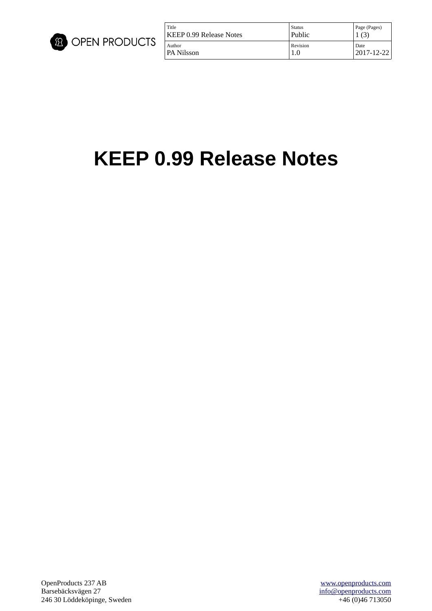

| Title                   | Status   | Page (Pages) |
|-------------------------|----------|--------------|
| KEEP 0.99 Release Notes | Public   | (3)          |
| Author                  | Revision | Date         |
| PA Nilsson              | 1.0      | 2017-12-22   |

## **KEEP 0.99 Release Notes**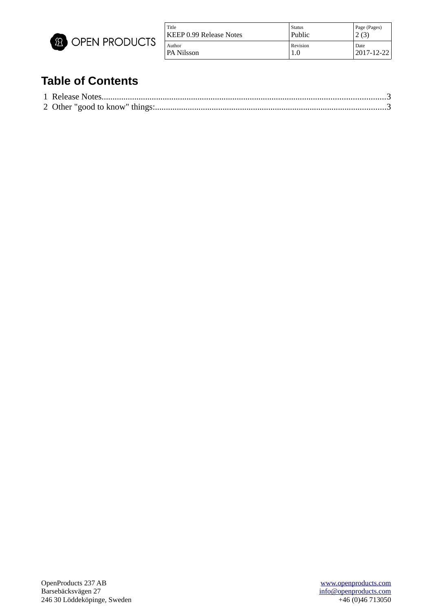

| Title                   | Status   | Page (Pages) |
|-------------------------|----------|--------------|
| KEEP 0.99 Release Notes | Public   | (3)          |
| Author                  | Revision | Date         |
| <b>PA Nilsson</b>       | 1.0      | 2017-12-22   |

## **Table of Contents**